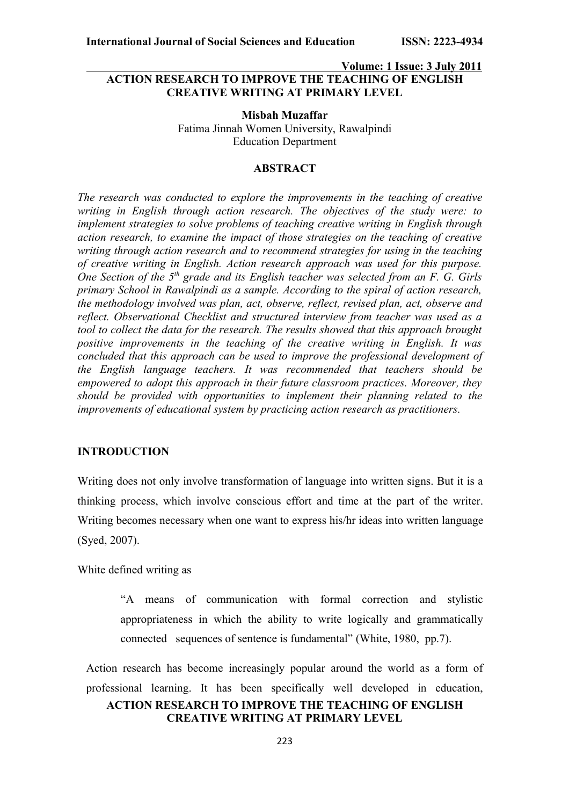## **Volume: 1 Issue: 3 July 2011 ACTION RESEARCH TO IMPROVE THE TEACHING OF ENGLISH CREATIVE WRITING AT PRIMARY LEVEL**

**Misbah Muzaffar** Fatima Jinnah Women University, Rawalpindi Education Department

## **ABSTRACT**

*The research was conducted to explore the improvements in the teaching of creative writing in English through action research. The objectives of the study were: to implement strategies to solve problems of teaching creative writing in English through action research, to examine the impact of those strategies on the teaching of creative writing through action research and to recommend strategies for using in the teaching of creative writing in English. Action research approach was used for this purpose. One Section of the 5th grade and its English teacher was selected from an F. G. Girls primary School in Rawalpindi as a sample. According to the spiral of action research, the methodology involved was plan, act, observe, reflect, revised plan, act, observe and reflect. Observational Checklist and structured interview from teacher was used as a tool to collect the data for the research. The results showed that this approach brought positive improvements in the teaching of the creative writing in English. It was concluded that this approach can be used to improve the professional development of the English language teachers. It was recommended that teachers should be empowered to adopt this approach in their future classroom practices. Moreover, they should be provided with opportunities to implement their planning related to the improvements of educational system by practicing action research as practitioners.*

### **INTRODUCTION**

Writing does not only involve transformation of language into written signs. But it is a thinking process, which involve conscious effort and time at the part of the writer. Writing becomes necessary when one want to express his/hr ideas into written language (Syed, 2007).

White defined writing as

"A means of communication with formal correction and stylistic appropriateness in which the ability to write logically and grammatically connected sequences of sentence is fundamental" (White, 1980, pp.7).

Action research has become increasingly popular around the world as a form of professional learning. It has been specifically well developed in education, **ACTION RESEARCH TO IMPROVE THE TEACHING OF ENGLISH**

# **CREATIVE WRITING AT PRIMARY LEVEL**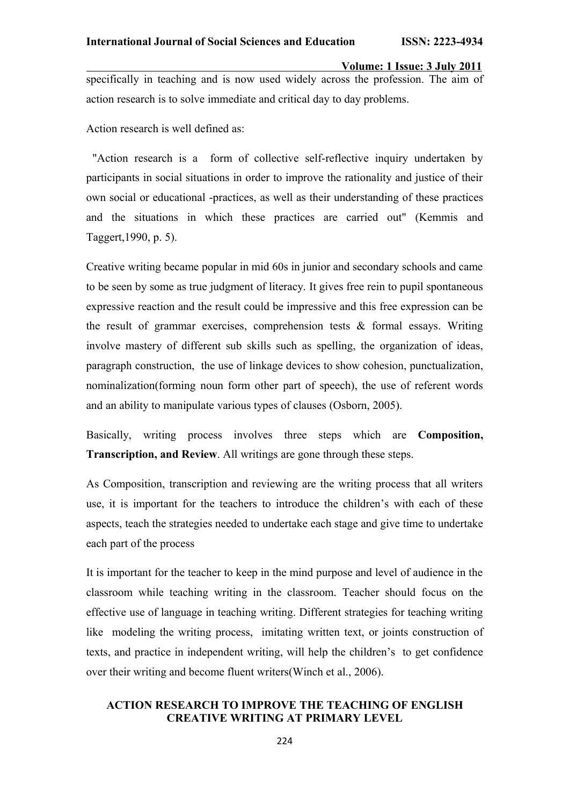specifically in teaching and is now used widely across the profession. The aim of action research is to solve immediate and critical day to day problems.

Action research is well defined as:

"Action research is a form of collective self-reflective inquiry undertaken by participants in social situations in order to improve the rationality and justice of their own social or educational -practices, as well as their understanding of these practices and the situations in which these practices are carried out" (Kemmis and Taggert,1990, p. 5).

Creative writing became popular in mid 60s in junior and secondary schools and came to be seen by some as true judgment of literacy. It gives free rein to pupil spontaneous expressive reaction and the result could be impressive and this free expression can be the result of grammar exercises, comprehension tests & formal essays. Writing involve mastery of different sub skills such as spelling, the organization of ideas, paragraph construction, the use of linkage devices to show cohesion, punctualization, nominalization(forming noun form other part of speech), the use of referent words and an ability to manipulate various types of clauses (Osborn, 2005).

Basically, writing process involves three steps which are **Composition, Transcription, and Review**. All writings are gone through these steps.

As Composition, transcription and reviewing are the writing process that all writers use, it is important for the teachers to introduce the children's with each of these aspects, teach the strategies needed to undertake each stage and give time to undertake each part of the process

It is important for the teacher to keep in the mind purpose and level of audience in the classroom while teaching writing in the classroom. Teacher should focus on the effective use of language in teaching writing. Different strategies for teaching writing like modeling the writing process, imitating written text, or joints construction of texts, and practice in independent writing, will help the children's to get confidence over their writing and become fluent writers(Winch et al., 2006).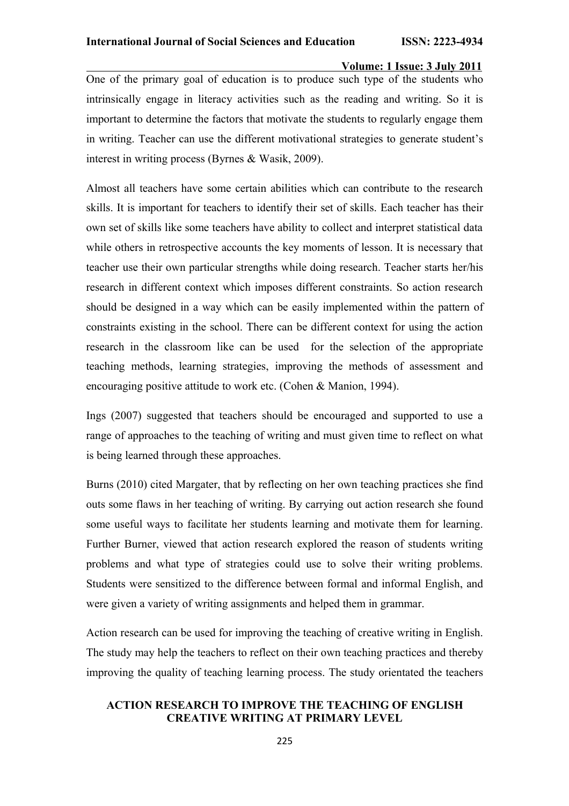**Volume: 1 Issue: 3 July 2011** One of the primary goal of education is to produce such type of the students who intrinsically engage in literacy activities such as the reading and writing. So it is important to determine the factors that motivate the students to regularly engage them in writing. Teacher can use the different motivational strategies to generate student's interest in writing process (Byrnes & Wasik, 2009).

Almost all teachers have some certain abilities which can contribute to the research skills. It is important for teachers to identify their set of skills. Each teacher has their own set of skills like some teachers have ability to collect and interpret statistical data while others in retrospective accounts the key moments of lesson. It is necessary that teacher use their own particular strengths while doing research. Teacher starts her/his research in different context which imposes different constraints. So action research should be designed in a way which can be easily implemented within the pattern of constraints existing in the school. There can be different context for using the action research in the classroom like can be used for the selection of the appropriate teaching methods, learning strategies, improving the methods of assessment and encouraging positive attitude to work etc. (Cohen & Manion, 1994).

Ings (2007) suggested that teachers should be encouraged and supported to use a range of approaches to the teaching of writing and must given time to reflect on what is being learned through these approaches.

Burns (2010) cited Margater, that by reflecting on her own teaching practices she find outs some flaws in her teaching of writing. By carrying out action research she found some useful ways to facilitate her students learning and motivate them for learning. Further Burner, viewed that action research explored the reason of students writing problems and what type of strategies could use to solve their writing problems. Students were sensitized to the difference between formal and informal English, and were given a variety of writing assignments and helped them in grammar.

Action research can be used for improving the teaching of creative writing in English. The study may help the teachers to reflect on their own teaching practices and thereby improving the quality of teaching learning process. The study orientated the teachers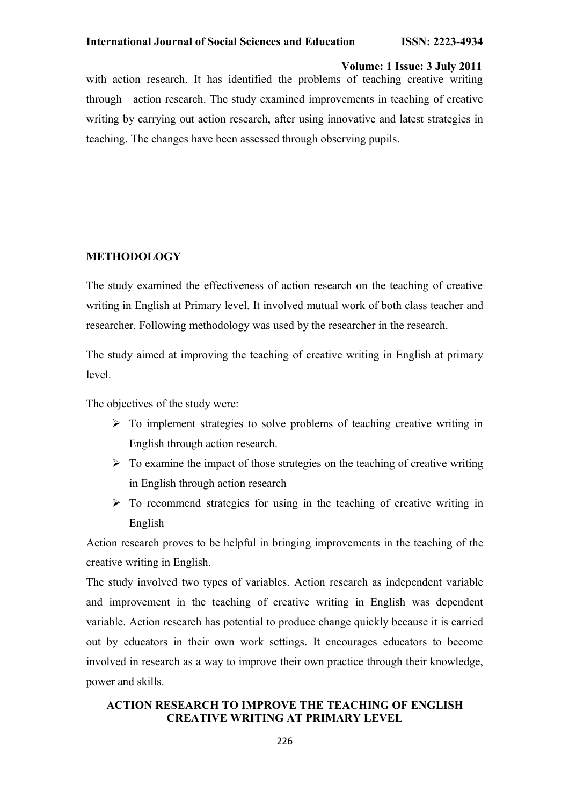**Volume: 1 Issue: 3 July 2011** with action research. It has identified the problems of teaching creative writing through action research. The study examined improvements in teaching of creative writing by carrying out action research, after using innovative and latest strategies in teaching. The changes have been assessed through observing pupils.

## **METHODOLOGY**

The study examined the effectiveness of action research on the teaching of creative writing in English at Primary level. It involved mutual work of both class teacher and researcher. Following methodology was used by the researcher in the research.

The study aimed at improving the teaching of creative writing in English at primary level.

The objectives of the study were:

- $\triangleright$  To implement strategies to solve problems of teaching creative writing in English through action research.
- $\triangleright$  To examine the impact of those strategies on the teaching of creative writing in English through action research
- $\triangleright$  To recommend strategies for using in the teaching of creative writing in English

Action research proves to be helpful in bringing improvements in the teaching of the creative writing in English.

The study involved two types of variables. Action research as independent variable and improvement in the teaching of creative writing in English was dependent variable. Action research has potential to produce change quickly because it is carried out by educators in their own work settings. It encourages educators to become involved in research as a way to improve their own practice through their knowledge, power and skills.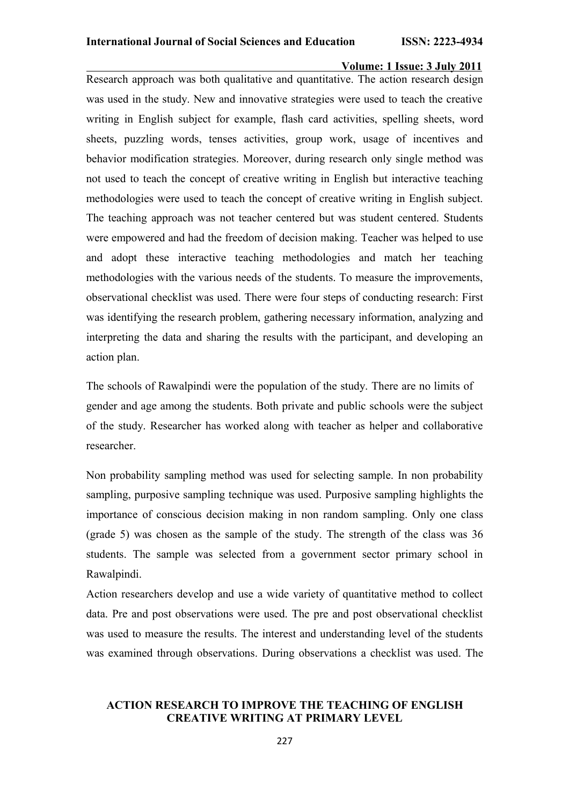Research approach was both qualitative and quantitative. The action research design was used in the study. New and innovative strategies were used to teach the creative writing in English subject for example, flash card activities, spelling sheets, word sheets, puzzling words, tenses activities, group work, usage of incentives and behavior modification strategies. Moreover, during research only single method was not used to teach the concept of creative writing in English but interactive teaching methodologies were used to teach the concept of creative writing in English subject. The teaching approach was not teacher centered but was student centered. Students were empowered and had the freedom of decision making. Teacher was helped to use and adopt these interactive teaching methodologies and match her teaching methodologies with the various needs of the students. To measure the improvements, observational checklist was used. There were four steps of conducting research: First was identifying the research problem, gathering necessary information, analyzing and interpreting the data and sharing the results with the participant, and developing an action plan.

The schools of Rawalpindi were the population of the study. There are no limits of gender and age among the students. Both private and public schools were the subject of the study. Researcher has worked along with teacher as helper and collaborative researcher.

Non probability sampling method was used for selecting sample. In non probability sampling, purposive sampling technique was used. Purposive sampling highlights the importance of conscious decision making in non random sampling. Only one class (grade 5) was chosen as the sample of the study. The strength of the class was 36 students. The sample was selected from a government sector primary school in Rawalpindi.

Action researchers develop and use a wide variety of quantitative method to collect data. Pre and post observations were used. The pre and post observational checklist was used to measure the results. The interest and understanding level of the students was examined through observations. During observations a checklist was used. The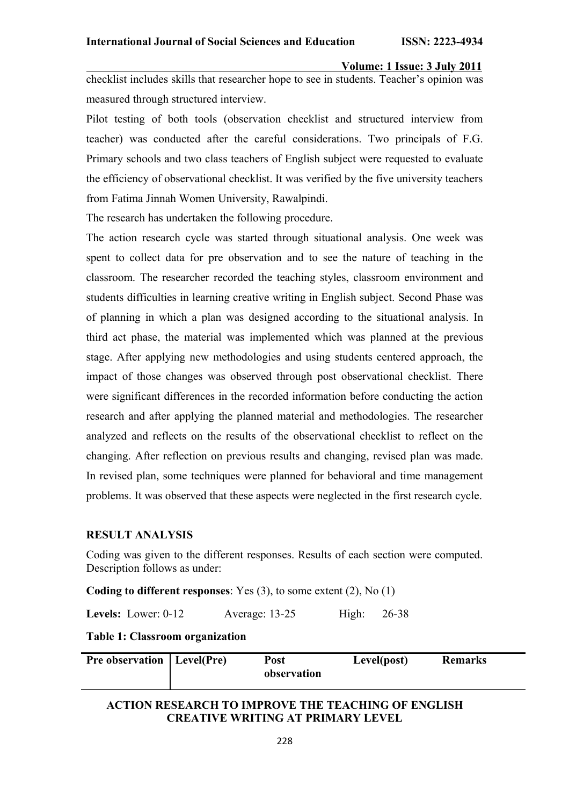checklist includes skills that researcher hope to see in students. Teacher's opinion was measured through structured interview.

Pilot testing of both tools (observation checklist and structured interview from teacher) was conducted after the careful considerations. Two principals of F.G. Primary schools and two class teachers of English subject were requested to evaluate the efficiency of observational checklist. It was verified by the five university teachers from Fatima Jinnah Women University, Rawalpindi.

The research has undertaken the following procedure.

The action research cycle was started through situational analysis. One week was spent to collect data for pre observation and to see the nature of teaching in the classroom. The researcher recorded the teaching styles, classroom environment and students difficulties in learning creative writing in English subject. Second Phase was of planning in which a plan was designed according to the situational analysis. In third act phase, the material was implemented which was planned at the previous stage. After applying new methodologies and using students centered approach, the impact of those changes was observed through post observational checklist. There were significant differences in the recorded information before conducting the action research and after applying the planned material and methodologies. The researcher analyzed and reflects on the results of the observational checklist to reflect on the changing. After reflection on previous results and changing, revised plan was made. In revised plan, some techniques were planned for behavioral and time management problems. It was observed that these aspects were neglected in the first research cycle.

#### **RESULT ANALYSIS**

Coding was given to the different responses. Results of each section were computed. Description follows as under:

**Coding to different responses**: Yes (3), to some extent (2), No (1)

**Levels:** Lower: 0-12 Average: 13-25 High: 26-38

**Table 1: Classroom organization**

| <b>Pre observation</b>   Level(Pre) | Post        | Level(post) | <b>Remarks</b> |
|-------------------------------------|-------------|-------------|----------------|
|                                     | observation |             |                |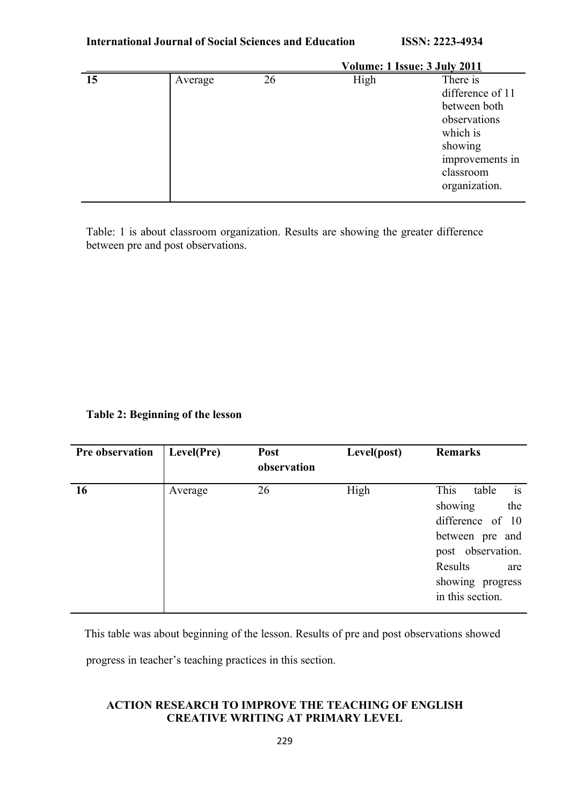|    |         |    |      | Volume: 1 Issue: 3 July 2011                                                                                                         |
|----|---------|----|------|--------------------------------------------------------------------------------------------------------------------------------------|
| 15 | Average | 26 | High | There is<br>difference of 11<br>between both<br>observations<br>which is<br>showing<br>improvements in<br>classroom<br>organization. |

Table: 1 is about classroom organization. Results are showing the greater difference between pre and post observations.

# **Table 2: Beginning of the lesson**

| Pre observation | Level(Pre) | <b>Post</b><br>observation | Level(post) | <b>Remarks</b>                                                                                                                                              |
|-----------------|------------|----------------------------|-------------|-------------------------------------------------------------------------------------------------------------------------------------------------------------|
| <b>16</b>       | Average    | 26                         | High        | is<br>This<br>table<br>showing<br>the<br>difference of 10<br>between pre and<br>post observation.<br>Results<br>are<br>showing progress<br>in this section. |

This table was about beginning of the lesson. Results of pre and post observations showed

progress in teacher's teaching practices in this section.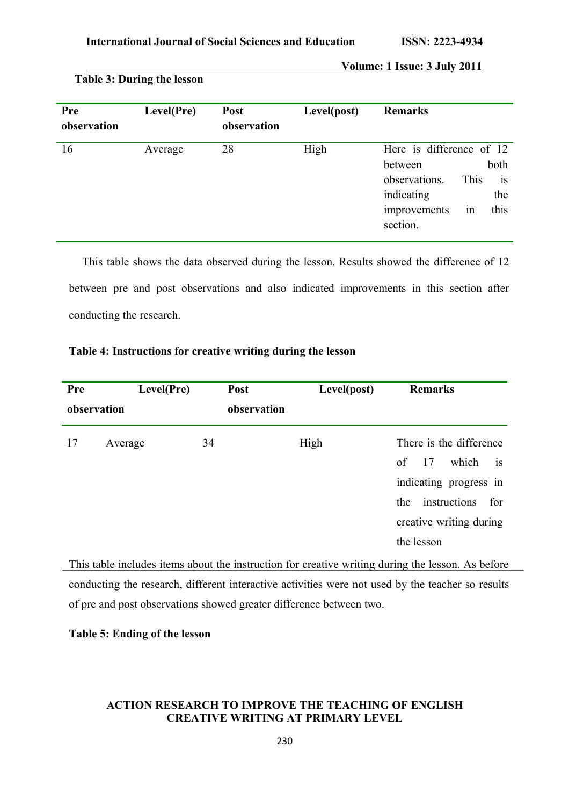| <b>Pre</b><br>observation | Level(Pre) | Post<br>observation | Level(post) | <b>Remarks</b>                                                                                                                                       |
|---------------------------|------------|---------------------|-------------|------------------------------------------------------------------------------------------------------------------------------------------------------|
| 16                        | Average    | 28                  | High        | Here is difference of 12<br>both<br>between<br>observations.<br>This<br><sup>is</sup><br>indicating<br>the<br>this<br>improvements<br>1n<br>section. |

## **Table 3: During the lesson**

conducting the research.

| This table shows the data observed during the lesson. Results showed the difference of 12 |
|-------------------------------------------------------------------------------------------|
| between pre and post observations and also indicated improvements in this section after   |

**Table 4: Instructions for creative writing during the lesson**

| Level(Pre)<br>Pre<br>observation | <b>Post</b><br>observation | Level(post) | <b>Remarks</b>                                                                                                                                             |
|----------------------------------|----------------------------|-------------|------------------------------------------------------------------------------------------------------------------------------------------------------------|
| 17<br>Average                    | 34                         | High        | There is the difference<br>17<br>which<br>of<br><b>1S</b><br>indicating progress in<br>instructions<br>for<br>the<br>creative writing during<br>the lesson |

This table includes items about the instruction for creative writing during the lesson. As before conducting the research, different interactive activities were not used by the teacher so results of pre and post observations showed greater difference between two.

**Table 5: Ending of the lesson**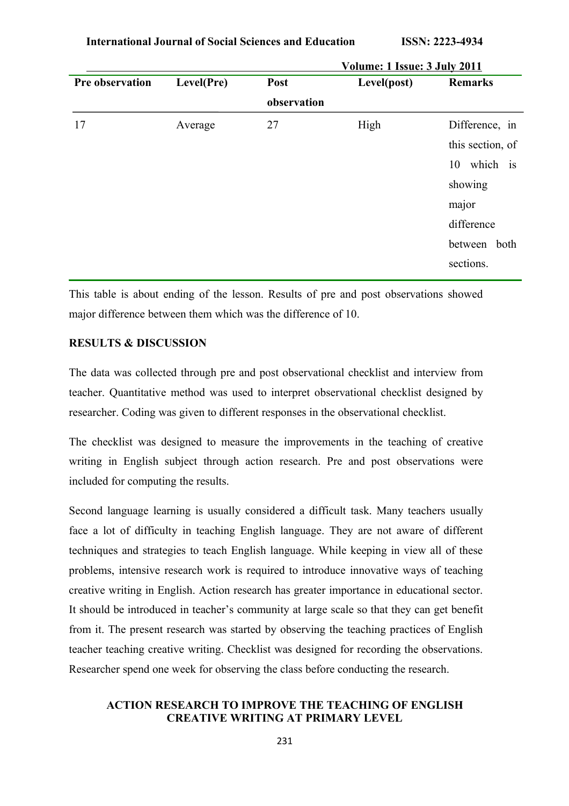**International Journal of Social Sciences and Education ISSN: 2223-4934**

|                 |            | <u>VOIUME: 1 ISSUE: 3 JUIV ZUI I</u> |             |                  |
|-----------------|------------|--------------------------------------|-------------|------------------|
| Pre observation | Level(Pre) | Post                                 | Level(post) | <b>Remarks</b>   |
|                 |            | observation                          |             |                  |
| 17              | Average    | 27                                   | High        | Difference, in   |
|                 |            |                                      |             | this section, of |
|                 |            |                                      |             | which is<br>10   |
|                 |            |                                      |             | showing          |
|                 |            |                                      |             | major            |
|                 |            |                                      |             | difference       |
|                 |            |                                      |             | between both     |
|                 |            |                                      |             | sections.        |
|                 |            |                                      |             |                  |

 **Volume: 1 Issue: 3 July 2011**

This table is about ending of the lesson. Results of pre and post observations showed major difference between them which was the difference of 10.

## **RESULTS & DISCUSSION**

The data was collected through pre and post observational checklist and interview from teacher. Quantitative method was used to interpret observational checklist designed by researcher. Coding was given to different responses in the observational checklist.

The checklist was designed to measure the improvements in the teaching of creative writing in English subject through action research. Pre and post observations were included for computing the results.

Second language learning is usually considered a difficult task. Many teachers usually face a lot of difficulty in teaching English language. They are not aware of different techniques and strategies to teach English language. While keeping in view all of these problems, intensive research work is required to introduce innovative ways of teaching creative writing in English. Action research has greater importance in educational sector. It should be introduced in teacher's community at large scale so that they can get benefit from it. The present research was started by observing the teaching practices of English teacher teaching creative writing. Checklist was designed for recording the observations. Researcher spend one week for observing the class before conducting the research.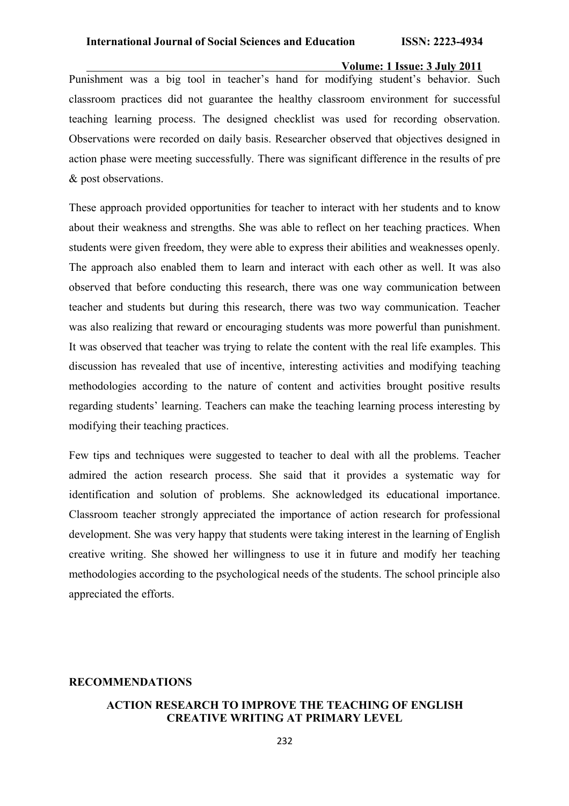Punishment was a big tool in teacher's hand for modifying student's behavior. Such classroom practices did not guarantee the healthy classroom environment for successful teaching learning process. The designed checklist was used for recording observation. Observations were recorded on daily basis. Researcher observed that objectives designed in action phase were meeting successfully. There was significant difference in the results of pre & post observations.

These approach provided opportunities for teacher to interact with her students and to know about their weakness and strengths. She was able to reflect on her teaching practices. When students were given freedom, they were able to express their abilities and weaknesses openly. The approach also enabled them to learn and interact with each other as well. It was also observed that before conducting this research, there was one way communication between teacher and students but during this research, there was two way communication. Teacher was also realizing that reward or encouraging students was more powerful than punishment. It was observed that teacher was trying to relate the content with the real life examples. This discussion has revealed that use of incentive, interesting activities and modifying teaching methodologies according to the nature of content and activities brought positive results regarding students' learning. Teachers can make the teaching learning process interesting by modifying their teaching practices.

Few tips and techniques were suggested to teacher to deal with all the problems. Teacher admired the action research process. She said that it provides a systematic way for identification and solution of problems. She acknowledged its educational importance. Classroom teacher strongly appreciated the importance of action research for professional development. She was very happy that students were taking interest in the learning of English creative writing. She showed her willingness to use it in future and modify her teaching methodologies according to the psychological needs of the students. The school principle also appreciated the efforts.

### **RECOMMENDATIONS**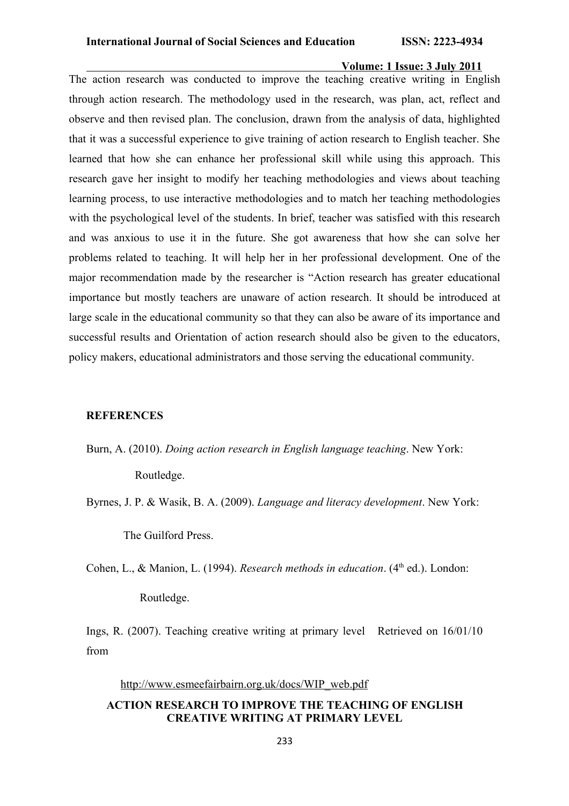The action research was conducted to improve the teaching creative writing in English through action research. The methodology used in the research, was plan, act, reflect and observe and then revised plan. The conclusion, drawn from the analysis of data, highlighted that it was a successful experience to give training of action research to English teacher. She learned that how she can enhance her professional skill while using this approach. This research gave her insight to modify her teaching methodologies and views about teaching learning process, to use interactive methodologies and to match her teaching methodologies with the psychological level of the students. In brief, teacher was satisfied with this research and was anxious to use it in the future. She got awareness that how she can solve her problems related to teaching. It will help her in her professional development. One of the major recommendation made by the researcher is "Action research has greater educational importance but mostly teachers are unaware of action research. It should be introduced at large scale in the educational community so that they can also be aware of its importance and successful results and Orientation of action research should also be given to the educators, policy makers, educational administrators and those serving the educational community.

## **REFERENCES**

Burn, A. (2010). *Doing action research in English language teaching*. New York:

Routledge.

Byrnes, J. P. & Wasik, B. A. (2009). *Language and literacy development*. New York:

The Guilford Press.

Cohen, L., & Manion, L. (1994). *Research methods in education*. (4<sup>th</sup> ed.). London:

Routledge.

Ings, R. (2007). Teaching creative writing at primary level Retrieved on 16/01/10 from

### http://www.esmeefairbairn.org.uk/docs/WIP\_web.pdf